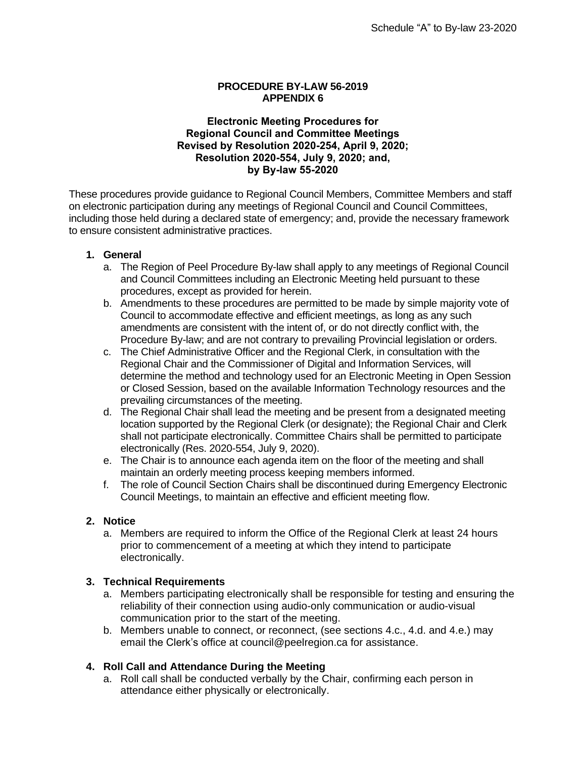#### **PROCEDURE BY-LAW 56-2019 APPENDIX 6**

#### **Electronic Meeting Procedures for Regional Council and Committee Meetings Revised by Resolution 2020-254, April 9, 2020; Resolution 2020-554, July 9, 2020; and, by By-law 55-2020**

These procedures provide guidance to Regional Council Members, Committee Members and staff on electronic participation during any meetings of Regional Council and Council Committees, including those held during a declared state of emergency; and, provide the necessary framework to ensure consistent administrative practices.

#### **1. General**

- a. The Region of Peel Procedure By-law shall apply to any meetings of Regional Council and Council Committees including an Electronic Meeting held pursuant to these procedures, except as provided for herein.
- b. Amendments to these procedures are permitted to be made by simple majority vote of Council to accommodate effective and efficient meetings, as long as any such amendments are consistent with the intent of, or do not directly conflict with, the Procedure By-law; and are not contrary to prevailing Provincial legislation or orders.
- c. The Chief Administrative Officer and the Regional Clerk, in consultation with the Regional Chair and the Commissioner of Digital and Information Services, will determine the method and technology used for an Electronic Meeting in Open Session or Closed Session, based on the available Information Technology resources and the prevailing circumstances of the meeting.
- d. The Regional Chair shall lead the meeting and be present from a designated meeting location supported by the Regional Clerk (or designate); the Regional Chair and Clerk shall not participate electronically. Committee Chairs shall be permitted to participate electronically (Res. 2020-554, July 9, 2020).
- e. The Chair is to announce each agenda item on the floor of the meeting and shall maintain an orderly meeting process keeping members informed.
- f. The role of Council Section Chairs shall be discontinued during Emergency Electronic Council Meetings, to maintain an effective and efficient meeting flow.

## **2. Notice**

a. Members are required to inform the Office of the Regional Clerk at least 24 hours prior to commencement of a meeting at which they intend to participate electronically.

#### **3. Technical Requirements**

- a. Members participating electronically shall be responsible for testing and ensuring the reliability of their connection using audio-only communication or audio-visual communication prior to the start of the meeting.
- b. Members unable to connect, or reconnect, (see sections 4.c., 4.d. and 4.e.) may email the Clerk's office at council@peelregion.ca for assistance.

## **4. Roll Call and Attendance During the Meeting**

a. Roll call shall be conducted verbally by the Chair, confirming each person in attendance either physically or electronically.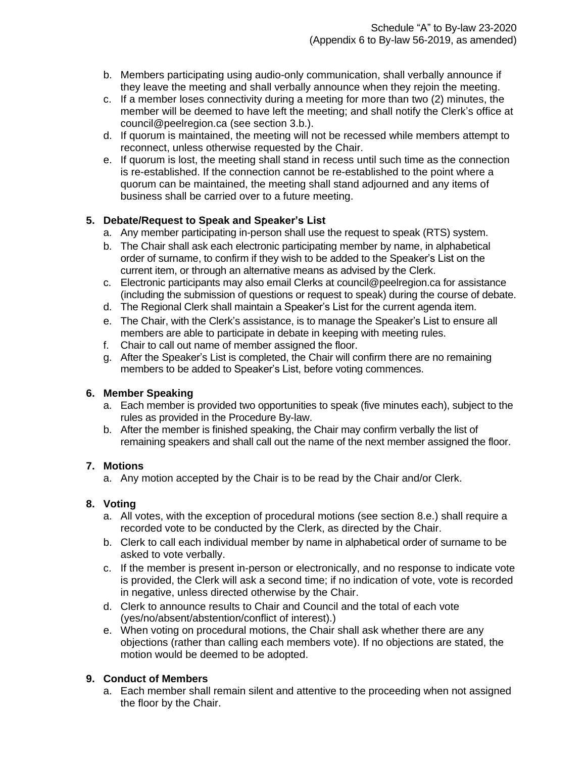- b. Members participating using audio-only communication, shall verbally announce if they leave the meeting and shall verbally announce when they rejoin the meeting.
- c. If a member loses connectivity during a meeting for more than two (2) minutes, the member will be deemed to have left the meeting; and shall notify the Clerk's office at council@peelregion.ca (see section 3.b.).
- d. If quorum is maintained, the meeting will not be recessed while members attempt to reconnect, unless otherwise requested by the Chair.
- e. If quorum is lost, the meeting shall stand in recess until such time as the connection is re-established. If the connection cannot be re-established to the point where a quorum can be maintained, the meeting shall stand adjourned and any items of business shall be carried over to a future meeting.

# **5. Debate/Request to Speak and Speaker's List**

- a. Any member participating in-person shall use the request to speak (RTS) system.
- b. The Chair shall ask each electronic participating member by name, in alphabetical order of surname, to confirm if they wish to be added to the Speaker's List on the current item, or through an alternative means as advised by the Clerk.
- c. Electronic participants may also email Clerks at council@peelregion.ca for assistance (including the submission of questions or request to speak) during the course of debate.
- d. The Regional Clerk shall maintain a Speaker's List for the current agenda item.
- e. The Chair, with the Clerk's assistance, is to manage the Speaker's List to ensure all members are able to participate in debate in keeping with meeting rules.
- f. Chair to call out name of member assigned the floor.
- g. After the Speaker's List is completed, the Chair will confirm there are no remaining members to be added to Speaker's List, before voting commences.

## **6. Member Speaking**

- a. Each member is provided two opportunities to speak (five minutes each), subject to the rules as provided in the Procedure By-law.
- b. After the member is finished speaking, the Chair may confirm verbally the list of remaining speakers and shall call out the name of the next member assigned the floor.

## **7. Motions**

a. Any motion accepted by the Chair is to be read by the Chair and/or Clerk.

## **8. Voting**

- a. All votes, with the exception of procedural motions (see section 8.e.) shall require a recorded vote to be conducted by the Clerk, as directed by the Chair.
- b. Clerk to call each individual member by name in alphabetical order of surname to be asked to vote verbally.
- c. If the member is present in-person or electronically, and no response to indicate vote is provided, the Clerk will ask a second time; if no indication of vote, vote is recorded in negative, unless directed otherwise by the Chair.
- d. Clerk to announce results to Chair and Council and the total of each vote (yes/no/absent/abstention/conflict of interest).)
- e. When voting on procedural motions, the Chair shall ask whether there are any objections (rather than calling each members vote). If no objections are stated, the motion would be deemed to be adopted.

## **9. Conduct of Members**

a. Each member shall remain silent and attentive to the proceeding when not assigned the floor by the Chair.